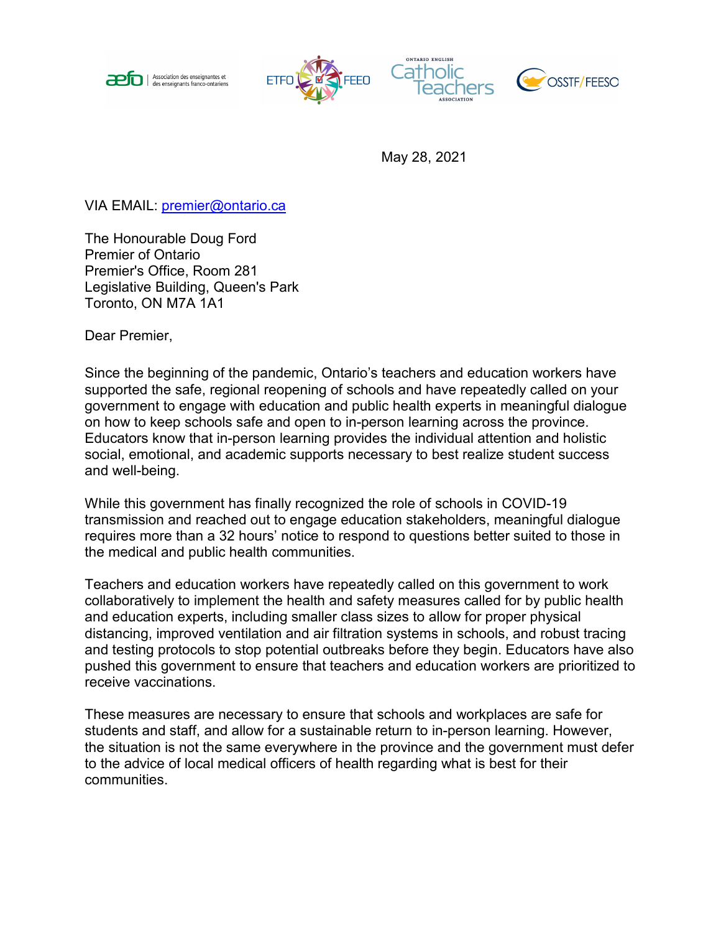







May 28, 2021

VIA EMAIL: [premier@ontario.ca](mailto:premier@ontario.ca)

The Honourable Doug Ford Premier of Ontario Premier's Office, Room 281 Legislative Building, Queen's Park Toronto, ON M7A 1A1

Dear Premier,

Since the beginning of the pandemic, Ontario's teachers and education workers have supported the safe, regional reopening of schools and have repeatedly called on your government to engage with education and public health experts in meaningful dialogue on how to keep schools safe and open to in-person learning across the province. Educators know that in-person learning provides the individual attention and holistic social, emotional, and academic supports necessary to best realize student success and well-being.

While this government has finally recognized the role of schools in COVID-19 transmission and reached out to engage education stakeholders, meaningful dialogue requires more than a 32 hours' notice to respond to questions better suited to those in the medical and public health communities.

Teachers and education workers have repeatedly called on this government to work collaboratively to implement the health and safety measures called for by public health and education experts, including smaller class sizes to allow for proper physical distancing, improved ventilation and air filtration systems in schools, and robust tracing and testing protocols to stop potential outbreaks before they begin. Educators have also pushed this government to ensure that teachers and education workers are prioritized to receive vaccinations.

These measures are necessary to ensure that schools and workplaces are safe for students and staff, and allow for a sustainable return to in-person learning. However, the situation is not the same everywhere in the province and the government must defer to the advice of local medical officers of health regarding what is best for their communities.